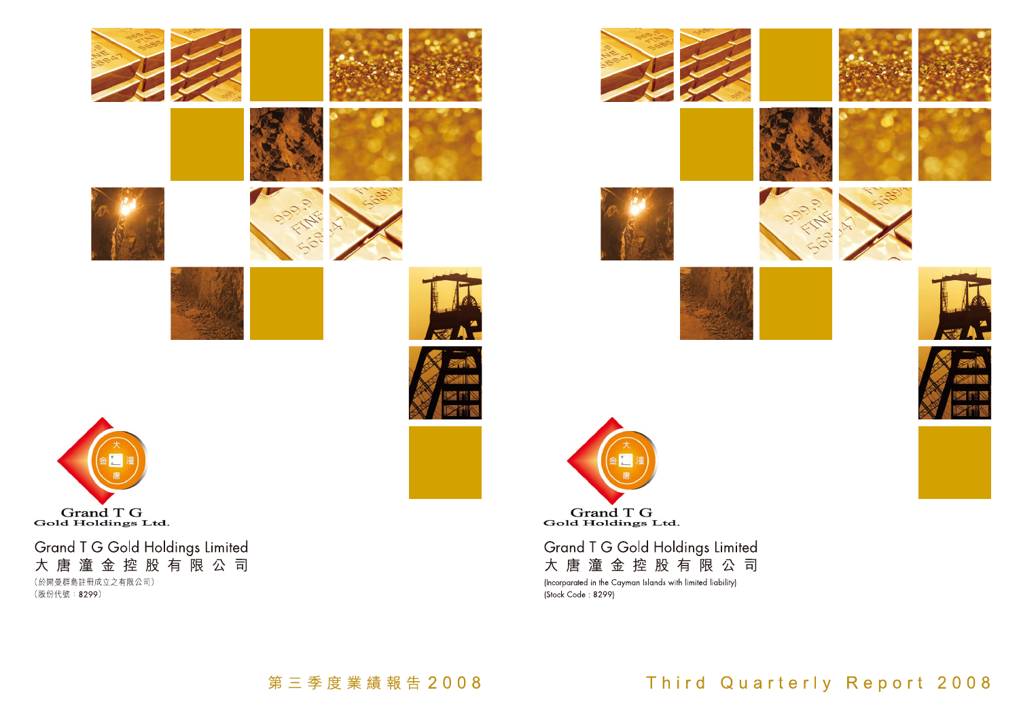



# Grand T G Gold Holdings Limited 大唐潼金控股有限公司

(Incorparated in the Cayman Islands with limited liability) (Stock Code: 8299)

Third Quarterly Report 2008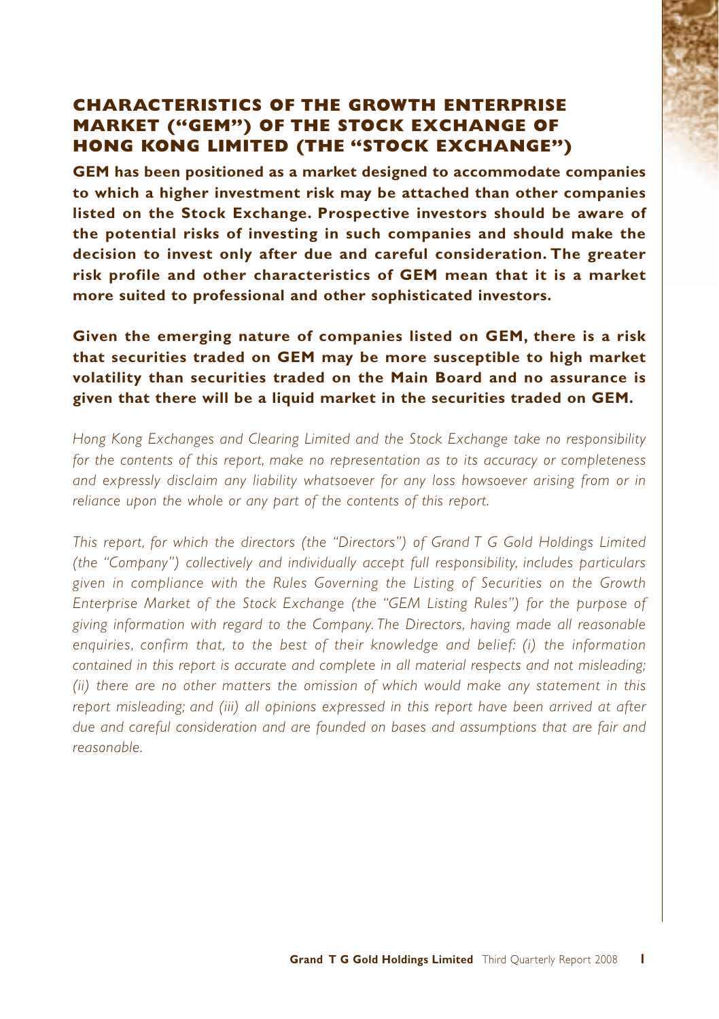# **CHARACTERISTICS OF THE GROWTH ENTERPRISE MARKET ("GEM") OF THE STOCK EXCHANGE OF HONG KONG LIMITED (THE "STOCK EXCHANGE")**

**GEM has been positioned as a market designed to accommodate companies to which a higher investment risk may be attached than other companies listed on the Stock Exchange. Prospective investors should be aware of the potential risks of investing in such companies and should make the decision to invest only after due and careful consideration. The greater risk profile and other characteristics of GEM mean that it is a market more suited to professional and other sophisticated investors.**

**Given the emerging nature of companies listed on GEM, there is a risk that securities traded on GEM may be more susceptible to high market volatility than securities traded on the Main Board and no assurance is given that there will be a liquid market in the securities traded on GEM.**

*Hong Kong Exchanges and Clearing Limited and the Stock Exchange take no responsibility for the contents of this report, make no representation as to its accuracy or completeness and expressly disclaim any liability whatsoever for any loss howsoever arising from or in reliance upon the whole or any part of the contents of this report.*

*This report, for which the directors (the "Directors") of Grand T G Gold Holdings Limited (the "Company") collectively and individually accept full responsibility, includes particulars given in compliance with the Rules Governing the Listing of Securities on the Growth Enterprise Market of the Stock Exchange (the "GEM Listing Rules") for the purpose of giving information with regard to the Company. The Directors, having made all reasonable enquiries, confirm that, to the best of their knowledge and belief: (i) the information contained in this report is accurate and complete in all material respects and not misleading; (ii) there are no other matters the omission of which would make any statement in this report misleading; and (iii) all opinions expressed in this report have been arrived at after due and careful consideration and are founded on bases and assumptions that are fair and reasonable.*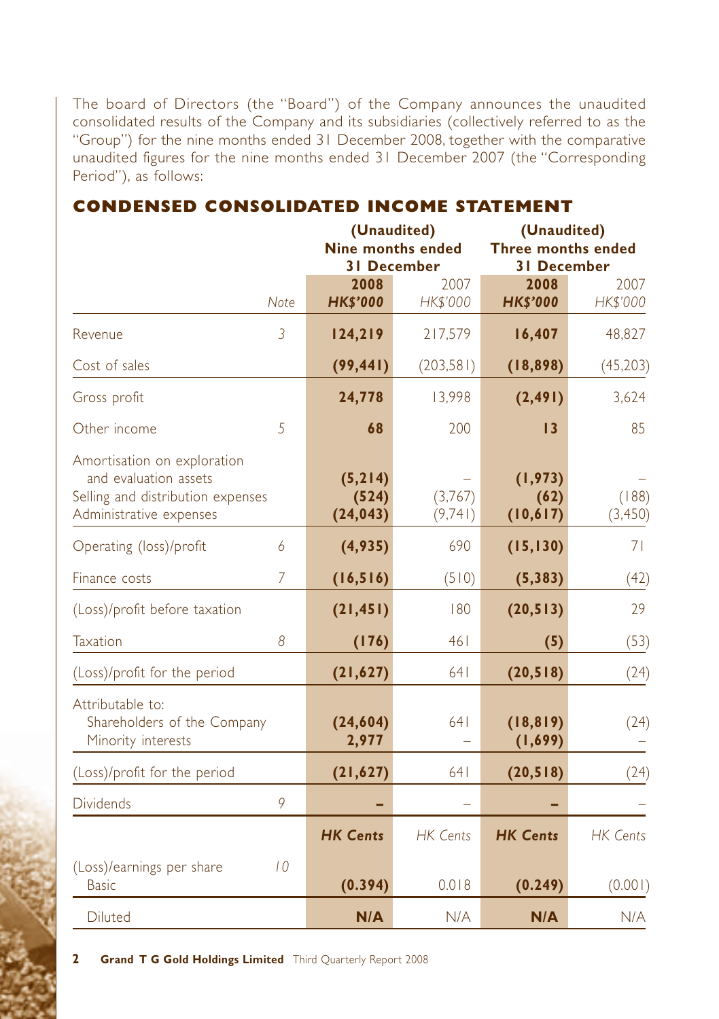The board of Directors (the "Board") of the Company announces the unaudited consolidated results of the Company and its subsidiaries (collectively referred to as the "Group") for the nine months ended 31 December 2008, together with the comparative unaudited figures for the nine months ended 31 December 2007 (the "Corresponding Period"), as follows:

|                                                                                                                      |                | (Unaudited)<br><b>Nine months ended</b><br><b>31 December</b> |                    | (Unaudited)<br><b>Three months ended</b><br><b>31 December</b> |                   |
|----------------------------------------------------------------------------------------------------------------------|----------------|---------------------------------------------------------------|--------------------|----------------------------------------------------------------|-------------------|
|                                                                                                                      | Note           | 2008<br><b>HK\$'000</b>                                       | 2007<br>HK\$'000   | 2008<br><b>HK\$'000</b>                                        | 2007<br>HK\$'000  |
| Revenue                                                                                                              | $\overline{3}$ | 124,219                                                       | 217,579            | 16,407                                                         | 48,827            |
| Cost of sales                                                                                                        |                | (99, 441)                                                     | (203,581)          | (18, 898)                                                      | (45, 203)         |
| Gross profit                                                                                                         |                | 24,778                                                        | 13,998             | (2, 491)                                                       | 3,624             |
| Other income                                                                                                         | 5              | 68                                                            | 200                | 13                                                             | 85                |
| Amortisation on exploration<br>and evaluation assets<br>Selling and distribution expenses<br>Administrative expenses |                | (5, 214)<br>(524)<br>(24, 043)                                | (3,767)<br>(9,741) | (1, 973)<br>(62)<br>(10, 617)                                  | (188)<br>(3, 450) |
| Operating (loss)/profit                                                                                              | 6              | (4,935)                                                       | 690                | (15, 130)                                                      | 71                |
| Finance costs                                                                                                        | 7              | (16, 516)                                                     | (510)              | (5, 383)                                                       | (42)              |
| (Loss)/profit before taxation                                                                                        |                | (21, 451)                                                     | 180                | (20, 513)                                                      | 29                |
| Taxation                                                                                                             | 8              | (176)                                                         | 461                | (5)                                                            | (53)              |
| (Loss)/profit for the period                                                                                         |                | (21, 627)                                                     | 641                | (20, 518)                                                      | (24)              |
| Attributable to:<br>Shareholders of the Company<br>Minority interests                                                |                | (24, 604)<br>2,977                                            | 641                | (18, 819)<br>(1, 699)                                          | (24)              |
| (Loss)/profit for the period                                                                                         |                | (21, 627)                                                     | 641                | (20, 518)                                                      | (24)              |
| <b>Dividends</b>                                                                                                     | 9              |                                                               |                    |                                                                |                   |
|                                                                                                                      |                | <b>HK Cents</b>                                               | <b>HK Cents</b>    | <b>HK Cents</b>                                                | <b>HK Cents</b>   |
| (Loss)/earnings per share<br><b>Basic</b>                                                                            | 10             | (0.394)                                                       | 0.018              | (0.249)                                                        | (0.001)           |
| <b>Diluted</b>                                                                                                       |                | N/A                                                           | N/A                | N/A                                                            | N/A               |

# **CONDENSED CONSOLIDATED INCOME STATEMENT**

**2 Grand T G Gold Holdings Limited** Third Quarterly Report 2008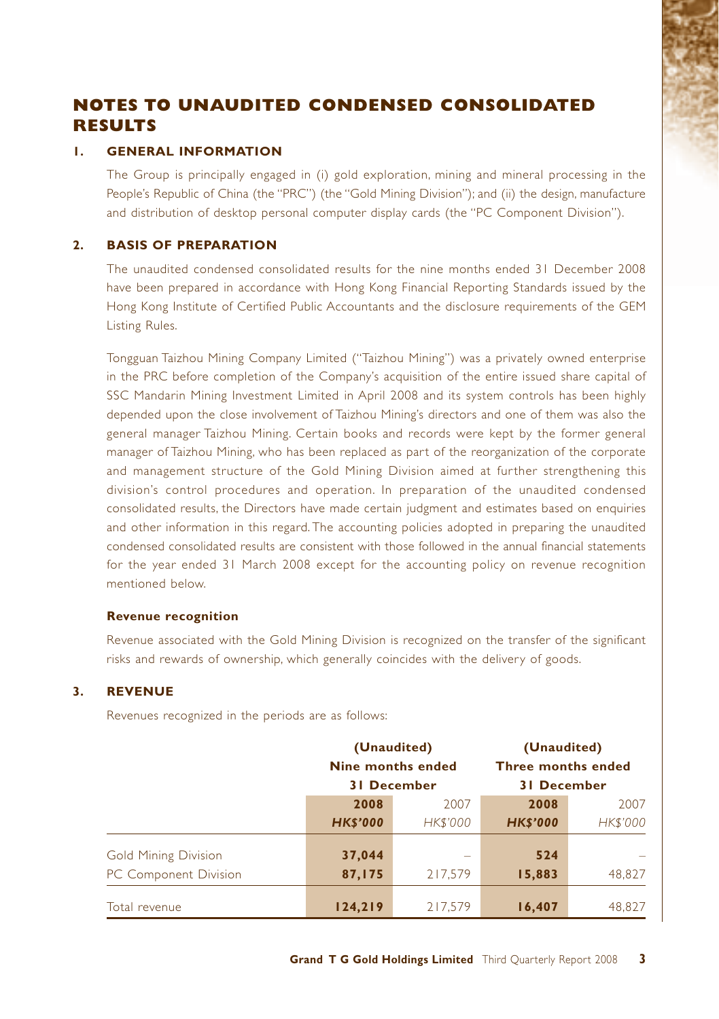# **NOTES TO UNAUDITED CONDENSED CONSOLIDATED RESULTS**

#### **1. GENERAL INFORMATION**

The Group is principally engaged in (i) gold exploration, mining and mineral processing in the People's Republic of China (the "PRC") (the "Gold Mining Division"); and (ii) the design, manufacture and distribution of desktop personal computer display cards (the "PC Component Division").

#### **2. BASIS OF PREPARATION**

The unaudited condensed consolidated results for the nine months ended 31 December 2008 have been prepared in accordance with Hong Kong Financial Reporting Standards issued by the Hong Kong Institute of Certified Public Accountants and the disclosure requirements of the GEM Listing Rules.

Tongguan Taizhou Mining Company Limited ("Taizhou Mining") was a privately owned enterprise in the PRC before completion of the Company's acquisition of the entire issued share capital of SSC Mandarin Mining Investment Limited in April 2008 and its system controls has been highly depended upon the close involvement of Taizhou Mining's directors and one of them was also the general manager Taizhou Mining. Certain books and records were kept by the former general manager of Taizhou Mining, who has been replaced as part of the reorganization of the corporate and management structure of the Gold Mining Division aimed at further strengthening this division's control procedures and operation. In preparation of the unaudited condensed consolidated results, the Directors have made certain judgment and estimates based on enquiries and other information in this regard. The accounting policies adopted in preparing the unaudited condensed consolidated results are consistent with those followed in the annual financial statements for the year ended 31 March 2008 except for the accounting policy on revenue recognition mentioned below.

#### **Revenue recognition**

Revenue associated with the Gold Mining Division is recognized on the transfer of the significant risks and rewards of ownership, which generally coincides with the delivery of goods.

#### **3. REVENUE**

Revenues recognized in the periods are as follows:

|                                                      | (Unaudited)<br>Nine months ended<br><b>31 December</b> |                   | (Unaudited)<br><b>Three months ended</b><br><b>31 December</b> |          |  |
|------------------------------------------------------|--------------------------------------------------------|-------------------|----------------------------------------------------------------|----------|--|
|                                                      | 2008                                                   | 2007              | 2008                                                           | 2007     |  |
|                                                      | <b>HK\$'000</b>                                        | <b>HK\$'000</b>   | <b>HKS'000</b>                                                 | HK\$'000 |  |
| <b>Gold Mining Division</b><br>PC Component Division | 37,044<br>87,175                                       | $\sim$<br>217.579 | 524<br>15,883                                                  | 48,827   |  |
| Total revenue                                        | 124,219                                                | 217.579           | 16,407                                                         | 48.827   |  |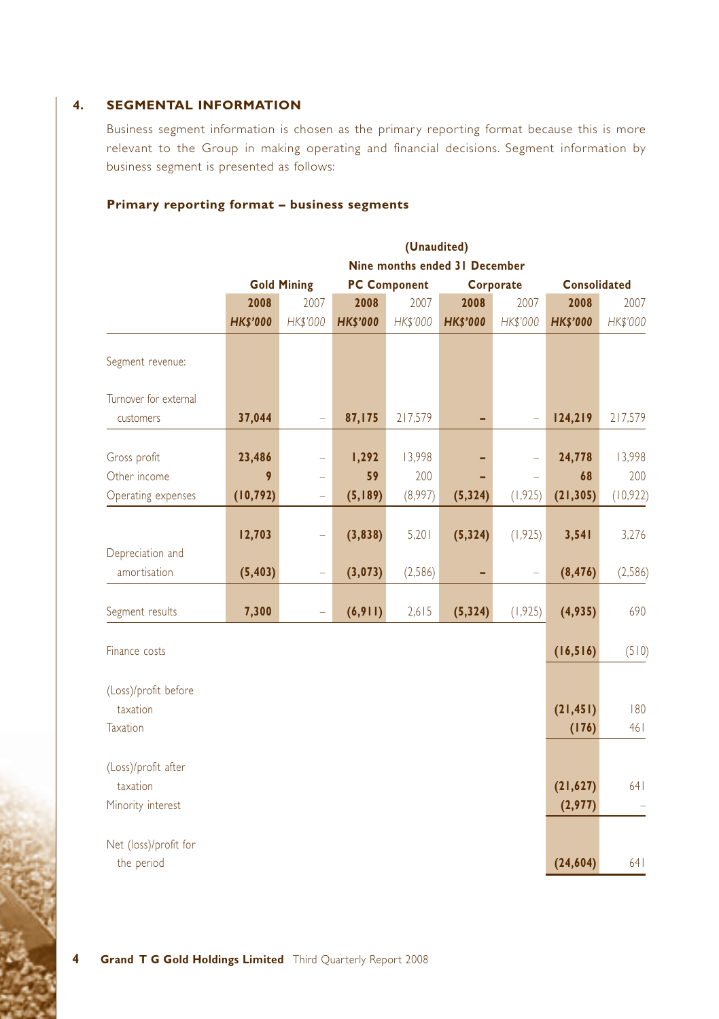#### **4. SEGMENTAL INFORMATION**

Business segment information is chosen as the primary reporting format because this is more relevant to the Group in making operating and financial decisions. Segment information by business segment is presented as follows:

#### **Primary reporting format – business segments**

|                                  |                 | (Unaudited)                   |                 |                                  |                 |                 |                 |                     |  |  |  |
|----------------------------------|-----------------|-------------------------------|-----------------|----------------------------------|-----------------|-----------------|-----------------|---------------------|--|--|--|
|                                  |                 | Nine months ended 31 December |                 |                                  |                 |                 |                 |                     |  |  |  |
|                                  |                 | <b>Gold Mining</b>            |                 | <b>PC Component</b><br>Corporate |                 |                 |                 | <b>Consolidated</b> |  |  |  |
|                                  | 2008            | 2007                          | 2008            | 2007                             | 2008            | 2007            | 2008            | 2007                |  |  |  |
|                                  | <b>HK\$'000</b> | <b>HK\$'000</b>               | <b>HK\$'000</b> | <b>HK\$'000</b>                  | <b>HK\$'000</b> | <b>HK\$'000</b> | <b>HK\$'000</b> | HK\$'000            |  |  |  |
| Segment revenue:                 |                 |                               |                 |                                  |                 |                 |                 |                     |  |  |  |
| Turnover for external            |                 |                               |                 |                                  |                 |                 |                 |                     |  |  |  |
| customers                        | 37,044          | $\overline{\phantom{0}}$      | 87,175          | 217,579                          |                 |                 | 124,219         | 217,579             |  |  |  |
| Gross profit                     | 23,486          |                               | 1,292           | 13,998                           |                 |                 | 24,778          | 13,998              |  |  |  |
| Other income                     | 9               | ÷                             | 59              | 200                              |                 |                 | 68              | 200                 |  |  |  |
| Operating expenses               | (10, 792)       | ÷                             | (5, 189)        | (8,997)                          | (5, 324)        | (1, 925)        | (21, 305)       | (10, 922)           |  |  |  |
|                                  | 12,703          | ÷                             | (3,838)         | 5,201                            | (5, 324)        | (1, 925)        | 3,541           | 3,276               |  |  |  |
| Depreciation and<br>amortisation | (5, 403)        | ÷                             | (3,073)         | (2, 586)                         |                 |                 | (8, 476)        | (2, 586)            |  |  |  |
| Segment results                  | 7,300           |                               | (6, 911)        | 2,615                            | (5, 324)        | (1, 925)        | (4,935)         | 690                 |  |  |  |
| Finance costs                    |                 |                               |                 |                                  |                 |                 | (16, 516)       | (510)               |  |  |  |
| (Loss)/profit before             |                 |                               |                 |                                  |                 |                 |                 |                     |  |  |  |
| taxation                         |                 |                               |                 |                                  |                 |                 | (21, 451)       | 180                 |  |  |  |
| Taxation                         |                 |                               |                 |                                  |                 |                 | (176)           | 461                 |  |  |  |
| (Loss)/profit after<br>taxation  |                 |                               |                 |                                  |                 |                 | (21, 627)       | 641                 |  |  |  |
| Minority interest                |                 |                               |                 |                                  |                 |                 | (2,977)         |                     |  |  |  |
| Net (loss)/profit for            |                 |                               |                 |                                  |                 |                 |                 |                     |  |  |  |
| the period                       |                 |                               |                 |                                  |                 |                 | (24, 604)       | 641                 |  |  |  |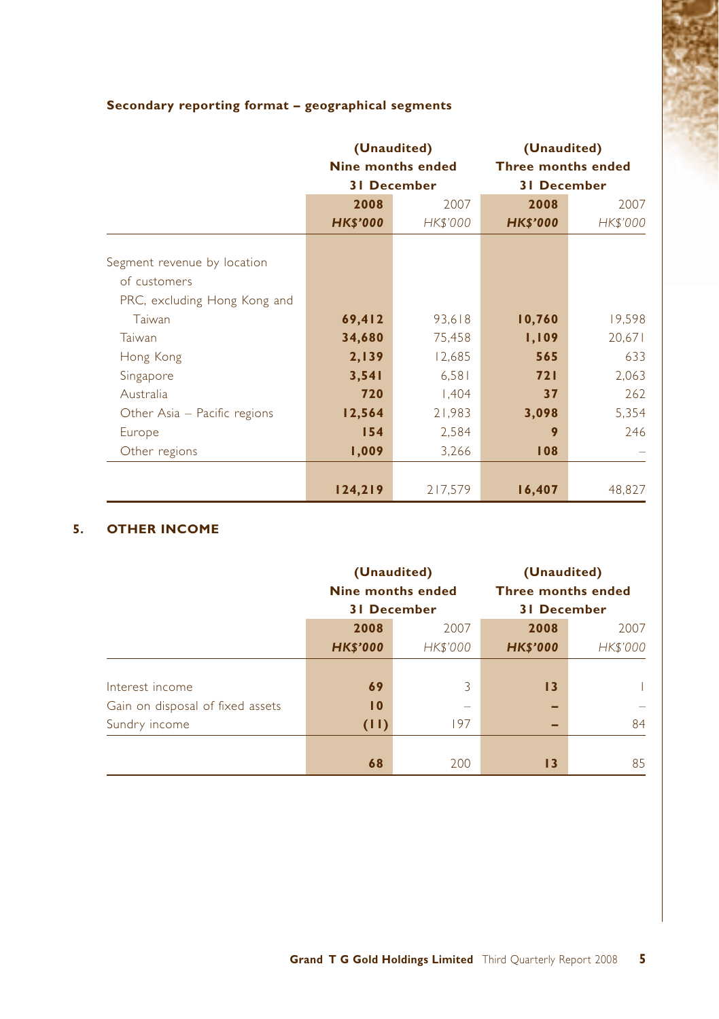|                              | (Unaudited)     |                    | (Unaudited)               |          |
|------------------------------|-----------------|--------------------|---------------------------|----------|
|                              |                 | Nine months ended  | <b>Three months ended</b> |          |
|                              |                 | <b>31 December</b> | <b>31 December</b>        |          |
|                              | 2008            | 2007               | 2008                      | 2007     |
|                              | <b>HK\$'000</b> | HK\$'000           | <b>HK\$'000</b>           | HK\$'000 |
|                              |                 |                    |                           |          |
| Segment revenue by location  |                 |                    |                           |          |
| of customers                 |                 |                    |                           |          |
| PRC, excluding Hong Kong and |                 |                    |                           |          |
| Taiwan                       | 69,412          | 93,618             | 10,760                    | 19,598   |
| Taiwan                       | 34,680          | 75,458             | 1,109                     | 20,671   |
| Hong Kong                    | 2,139           | 12,685             | 565                       | 633      |
| Singapore                    | 3,541           | 6,581              | 721                       | 2,063    |
| Australia                    | 720             | 1,404              | 37                        | 262      |
| Other Asia - Pacific regions | 12,564          | 21,983             | 3,098                     | 5,354    |
| Europe                       | 154             | 2,584              | 9                         | 246      |
| Other regions                | 1,009<br>3,266  |                    | 108                       |          |
|                              |                 |                    |                           |          |
|                              | 124,219         | 217,579            | 16,407                    | 48,827   |

### **Secondary reporting format – geographical segments**

#### **5. OTHER INCOME**

|                                  | (Unaudited)<br><b>Nine months ended</b> |                 | (Unaudited)<br>Three months ended |                          |  |
|----------------------------------|-----------------------------------------|-----------------|-----------------------------------|--------------------------|--|
|                                  | <b>31 December</b>                      |                 | <b>31 December</b>                |                          |  |
|                                  | 2008                                    | 2007            | 2008                              | 2007                     |  |
|                                  | <b>HK\$'000</b>                         | <b>HK\$'000</b> | <b>HK\$'000</b>                   | HK\$'000                 |  |
|                                  |                                         |                 |                                   |                          |  |
| Interest income                  | 69                                      | 3               | 13                                |                          |  |
| Gain on disposal of fixed assets | $\overline{10}$                         | $\sim$          |                                   | $\overline{\phantom{a}}$ |  |
| Sundry income                    | (11)                                    | 197             |                                   | 84                       |  |
|                                  |                                         |                 |                                   |                          |  |
|                                  | 68                                      | 200             | 13                                | 85                       |  |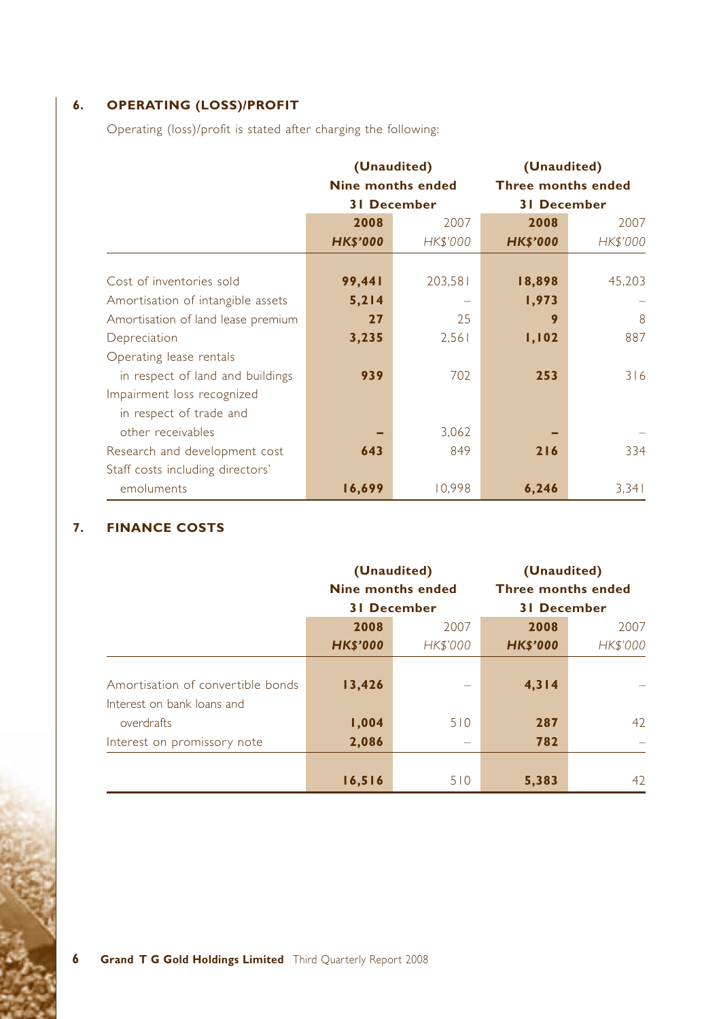# **6. OPERATING (LOSS)/PROFIT**

Operating (loss)/profit is stated after charging the following:

|                                    | (Unaudited)<br><b>Nine months ended</b><br><b>31 December</b> |                 | (Unaudited)<br><b>Three months ended</b><br><b>31 December</b> |          |  |
|------------------------------------|---------------------------------------------------------------|-----------------|----------------------------------------------------------------|----------|--|
|                                    | 2008                                                          | 2007            | 2008                                                           | 2007     |  |
|                                    | <b>HK\$'000</b>                                               | <b>HK\$'000</b> | <b>HK\$'000</b>                                                | HK\$'000 |  |
|                                    |                                                               |                 |                                                                |          |  |
| Cost of inventories sold           | 99,441                                                        | 203,581         | 18,898                                                         | 45,203   |  |
| Amortisation of intangible assets  | 5,214                                                         |                 | 1,973                                                          |          |  |
| Amortisation of land lease premium | 27                                                            | 25              | 9                                                              | 8        |  |
| Depreciation                       | 3,235                                                         | 2,561           | 1,102                                                          | 887      |  |
| Operating lease rentals            |                                                               |                 |                                                                |          |  |
| in respect of land and buildings   | 939                                                           | 702             | 253                                                            | 316      |  |
| Impairment loss recognized         |                                                               |                 |                                                                |          |  |
| in respect of trade and            |                                                               |                 |                                                                |          |  |
| other receivables                  |                                                               | 3,062           |                                                                |          |  |
| Research and development cost      | 643                                                           | 849             | 216                                                            | 334      |  |
| Staff costs including directors'   |                                                               |                 |                                                                |          |  |
| emoluments                         | 16,699                                                        | 10.998          | 6,246                                                          | 3,341    |  |

### **7. FINANCE COSTS**

|                                                                 | (Unaudited)<br>Nine months ended<br><b>31 December</b> |                          | (Unaudited)<br><b>Three months ended</b><br><b>31 December</b> |                          |
|-----------------------------------------------------------------|--------------------------------------------------------|--------------------------|----------------------------------------------------------------|--------------------------|
|                                                                 | 2008                                                   | 2007                     | 2008                                                           | 2007                     |
|                                                                 | <b>HK\$'000</b>                                        | <b>HK\$'000</b>          | <b>HK\$'000</b>                                                | HK\$'000                 |
| Amortisation of convertible bonds<br>Interest on bank loans and | 13,426                                                 | $\overline{\phantom{a}}$ | 4, 314                                                         | $\overline{\phantom{a}}$ |
| overdrafts                                                      | 1,004                                                  | 510                      | 287                                                            | 42                       |
| Interest on promissory note                                     | 2,086                                                  | $\overline{\phantom{a}}$ | 782                                                            | $\overline{\phantom{a}}$ |
|                                                                 | 16,516                                                 | 510                      | 5,383                                                          | 42                       |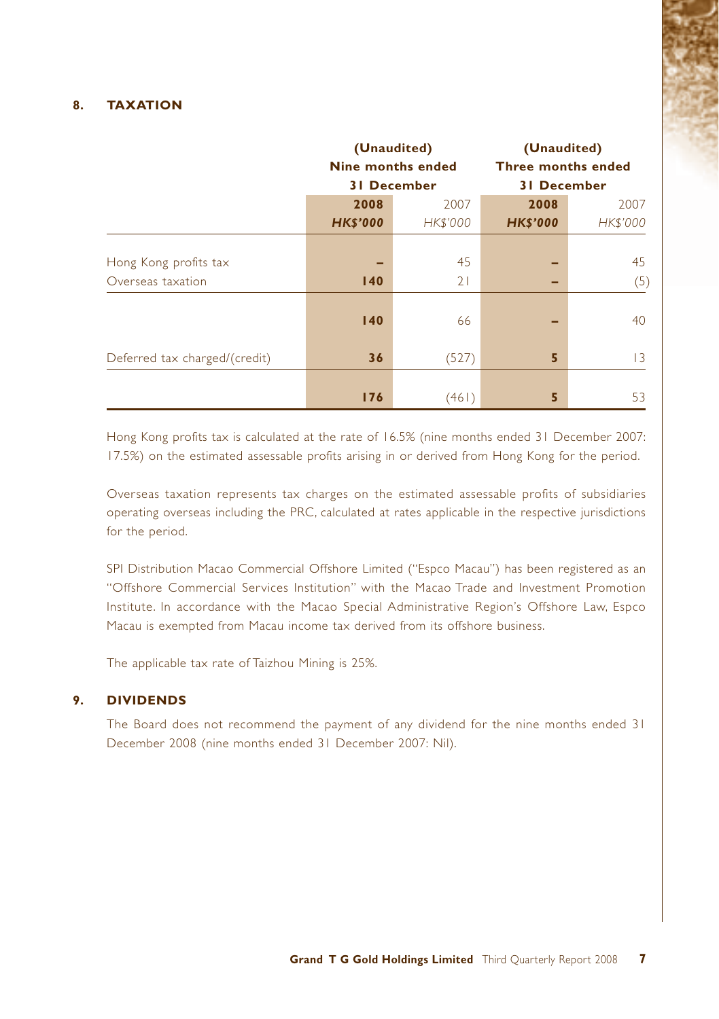#### **8. TAXATION**

|                               | (Unaudited)     |                          | (Unaudited)               |                 |  |
|-------------------------------|-----------------|--------------------------|---------------------------|-----------------|--|
|                               |                 | <b>Nine months ended</b> | <b>Three months ended</b> |                 |  |
|                               |                 | <b>31 December</b>       | <b>31 December</b>        |                 |  |
|                               | 2008            | 2007                     | 2008                      | 2007            |  |
|                               | <b>HK\$'000</b> | <b>HK\$'000</b>          | <b>HK\$'000</b>           | HK\$'000        |  |
|                               |                 |                          |                           |                 |  |
| Hong Kong profits tax         |                 | 45                       |                           | 45              |  |
| Overseas taxation             | 140             | 21                       |                           | (5)             |  |
|                               | 140             | 66                       |                           | 40              |  |
| Deferred tax charged/(credit) | 36              | (527)                    | 5                         | $\overline{13}$ |  |
|                               | 176             | (461)                    | 5                         | 53              |  |

Hong Kong profits tax is calculated at the rate of 16.5% (nine months ended 31 December 2007: 17.5%) on the estimated assessable profits arising in or derived from Hong Kong for the period.

Overseas taxation represents tax charges on the estimated assessable profits of subsidiaries operating overseas including the PRC, calculated at rates applicable in the respective jurisdictions for the period.

SPI Distribution Macao Commercial Offshore Limited ("Espco Macau") has been registered as an "Offshore Commercial Services Institution" with the Macao Trade and Investment Promotion Institute. In accordance with the Macao Special Administrative Region's Offshore Law, Espco Macau is exempted from Macau income tax derived from its offshore business.

The applicable tax rate of Taizhou Mining is 25%.

#### **9. DIVIDENDS**

The Board does not recommend the payment of any dividend for the nine months ended 31 December 2008 (nine months ended 31 December 2007: Nil).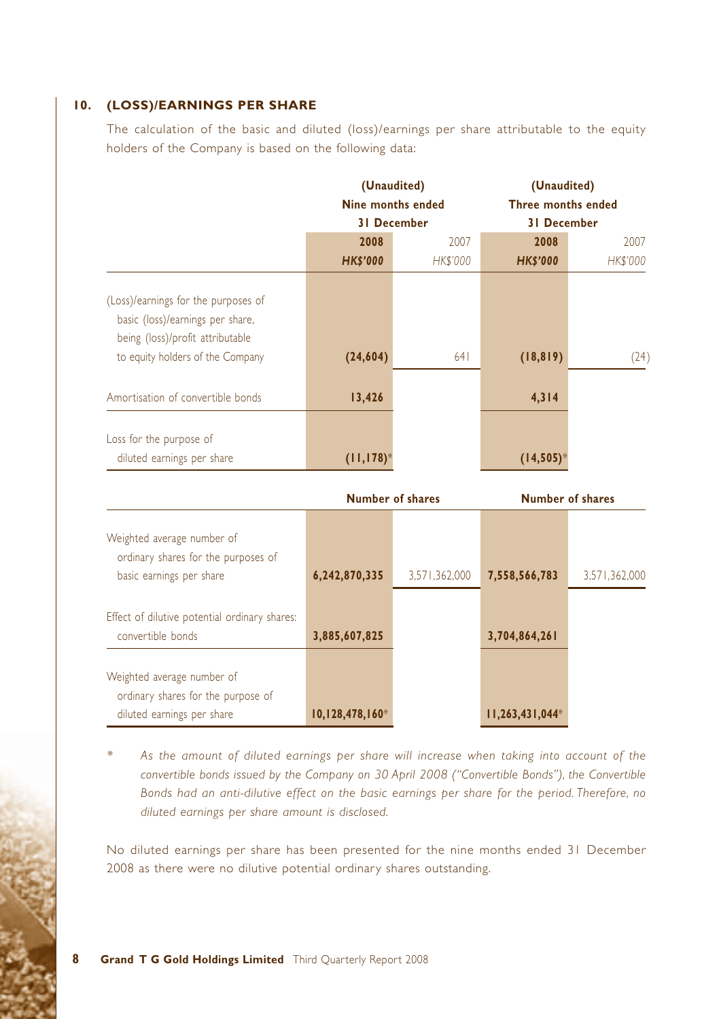#### **10. (LOSS)/EARNINGS PER SHARE**

The calculation of the basic and diluted (loss)/earnings per share attributable to the equity holders of the Company is based on the following data:

|                                                                                                                                                 | (Unaudited)<br>Nine months ended |                    | (Unaudited)<br>Three months ended |                 |  |
|-------------------------------------------------------------------------------------------------------------------------------------------------|----------------------------------|--------------------|-----------------------------------|-----------------|--|
|                                                                                                                                                 |                                  | <b>31 December</b> | <b>31 December</b>                |                 |  |
|                                                                                                                                                 | 2008                             | 2007               | 2008                              | 2007            |  |
|                                                                                                                                                 | <b>HK\$'000</b>                  | <b>HK\$'000</b>    | <b>HK\$'000</b>                   | <b>HK\$'000</b> |  |
| (Loss)/earnings for the purposes of<br>basic (loss)/earnings per share,<br>being (loss)/profit attributable<br>to equity holders of the Company | (24, 604)                        | 641                | (18, 819)                         | (24)            |  |
| Amortisation of convertible bonds                                                                                                               | 13,426                           |                    | 4, 314                            |                 |  |
| Loss for the purpose of<br>diluted earnings per share                                                                                           | $(11, 178)^*$                    |                    | $(14, 505)^*$                     |                 |  |

|                                                                    |                   | <b>Number of shares</b> | <b>Number of shares</b> |               |
|--------------------------------------------------------------------|-------------------|-------------------------|-------------------------|---------------|
| Weighted average number of<br>ordinary shares for the purposes of  |                   |                         |                         |               |
| basic earnings per share                                           | 6,242,870,335     | 3.571.362.000           | 7,558,566,783           | 3,571,362,000 |
| Effect of dilutive potential ordinary shares:<br>convertible bonds | 3,885,607,825     |                         | 3,704,864,261           |               |
| Weighted average number of<br>ordinary shares for the purpose of   |                   |                         |                         |               |
| diluted earnings per share                                         | $10,128,478,160*$ |                         | $11,263,431,044*$       |               |

*\* As the amount of diluted earnings per share will increase when taking into account of the convertible bonds issued by the Company on 30 April 2008 ("Convertible Bonds"), the Convertible Bonds had an anti-dilutive effect on the basic earnings per share for the period. Therefore, no diluted earnings per share amount is disclosed.*

No diluted earnings per share has been presented for the nine months ended 31 December 2008 as there were no dilutive potential ordinary shares outstanding.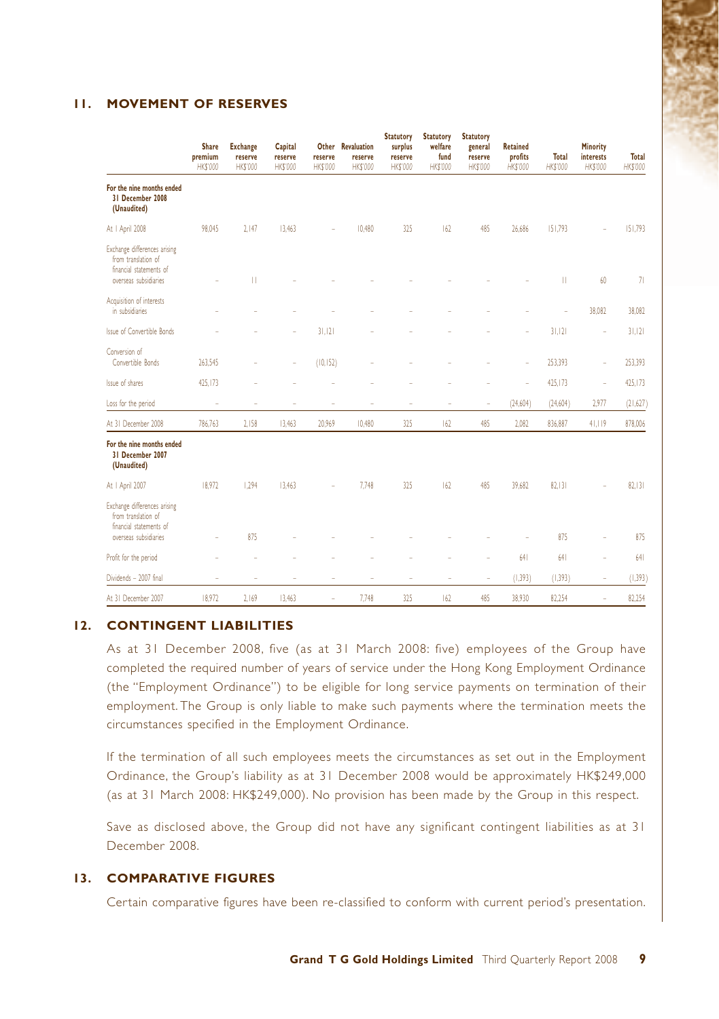#### **11. MOVEMENT OF RESERVES**

|                                                                                                         | <b>Share</b><br>premium<br>HK\$'000 | <b>Exchange</b><br>reserve<br>HK\$'000 | Capital<br>reserve<br><b>HK\$'000</b> | Other<br>reserve<br>HK\$'000 | <b>Revaluation</b><br>reserve<br>HK\$'000 | <b>Statutory</b><br>surplus<br>reserve<br>HK\$'000 | <b>Statutory</b><br>welfare<br>fund<br>HK\$'000 | <b>Statutory</b><br>general<br>reserve<br>HK\$'000 | <b>Retained</b><br>profits<br>HK\$'000 | Total<br><b>HK\$'000</b> | Minority<br><b>interests</b><br>HK\$'000 | <b>Total</b><br>HK\$'000 |
|---------------------------------------------------------------------------------------------------------|-------------------------------------|----------------------------------------|---------------------------------------|------------------------------|-------------------------------------------|----------------------------------------------------|-------------------------------------------------|----------------------------------------------------|----------------------------------------|--------------------------|------------------------------------------|--------------------------|
| For the nine months ended<br>31 December 2008<br>(Unaudited)                                            |                                     |                                        |                                       |                              |                                           |                                                    |                                                 |                                                    |                                        |                          |                                          |                          |
| At I April 2008                                                                                         | 98,045                              | 2.147                                  | 13.463                                |                              | 10,480                                    | 325                                                | 162                                             | 485                                                | 26,686                                 | 151.793                  |                                          | 151.793                  |
| Exchange differences arising<br>from translation of<br>financial statements of<br>overseas subsidiaries |                                     | П                                      |                                       |                              |                                           |                                                    |                                                 |                                                    |                                        | П                        | 60                                       | 71                       |
| Acquisition of interests<br>in subsidiaries                                                             |                                     |                                        |                                       |                              |                                           |                                                    |                                                 |                                                    |                                        |                          | 38,082                                   | 38,082                   |
| Issue of Convertible Bonds                                                                              |                                     |                                        | J.                                    | 31.121                       |                                           |                                                    |                                                 |                                                    | ÷.                                     | 31.121                   | ÷                                        | 31.121                   |
| Conversion of<br>Convertible Bonds                                                                      | 263,545                             |                                        | ÷,                                    | (10, 152)                    |                                           |                                                    |                                                 |                                                    | i,                                     | 253,393                  | ÷                                        | 253,393                  |
| Issue of shares                                                                                         | 425,173                             |                                        |                                       |                              |                                           |                                                    |                                                 |                                                    | à,                                     | 425,173                  | i.                                       | 425,173                  |
| Loss for the period                                                                                     | i.                                  | ×,                                     | ×,                                    | í.                           | ٠                                         | i.                                                 | i.                                              | ÷                                                  | (24, 604)                              | (24,604)                 | 2,977                                    | (21,627)                 |
| At 31 December 2008                                                                                     | 786.763                             | 2,158                                  | 13,463                                | 20,969                       | 10,480                                    | 325                                                | 162                                             | 485                                                | 2,082                                  | 836,887                  | 41,119                                   | 878,006                  |
| For the nine months ended<br>31 December 2007<br>(Unaudited)                                            |                                     |                                        |                                       |                              |                                           |                                                    |                                                 |                                                    |                                        |                          |                                          |                          |
| At I April 2007                                                                                         | 18.972                              | 1.294                                  | 13.463                                |                              | 7,748                                     | 325                                                | 162                                             | 485                                                | 39.682                                 | 82.131                   |                                          | 82.131                   |
| Exchange differences arising<br>from translation of<br>financial statements of<br>overseas subsidiaries |                                     | 875                                    |                                       |                              |                                           |                                                    |                                                 |                                                    |                                        | 875                      |                                          | 875                      |
| Profit for the period                                                                                   |                                     |                                        |                                       |                              |                                           |                                                    |                                                 |                                                    | 641                                    | 641                      |                                          | 641                      |
| Dividends - 2007 final                                                                                  | ÷                                   | i,                                     | i.                                    | ÷                            | ٠                                         | ÷                                                  | ÷                                               | $\sim$                                             | (1, 393)                               | (1, 393)                 | $\sim$                                   | (1, 393)                 |
| At 31 December 2007                                                                                     | 18,972                              | 2,169                                  | 13,463                                | i.                           | 7,748                                     | 325                                                | 162                                             | 485                                                | 38,930                                 | 82,254                   | i.                                       | 82,254                   |

#### **12. CONTINGENT LIABILITIES**

As at 31 December 2008, five (as at 31 March 2008: five) employees of the Group have completed the required number of years of service under the Hong Kong Employment Ordinance (the "Employment Ordinance") to be eligible for long service payments on termination of their employment. The Group is only liable to make such payments where the termination meets the circumstances specified in the Employment Ordinance.

If the termination of all such employees meets the circumstances as set out in the Employment Ordinance, the Group's liability as at 31 December 2008 would be approximately HK\$249,000 (as at 31 March 2008: HK\$249,000). No provision has been made by the Group in this respect.

Save as disclosed above, the Group did not have any significant contingent liabilities as at 31 December 2008.

#### **13. COMPARATIVE FIGURES**

Certain comparative figures have been re-classified to conform with current period's presentation.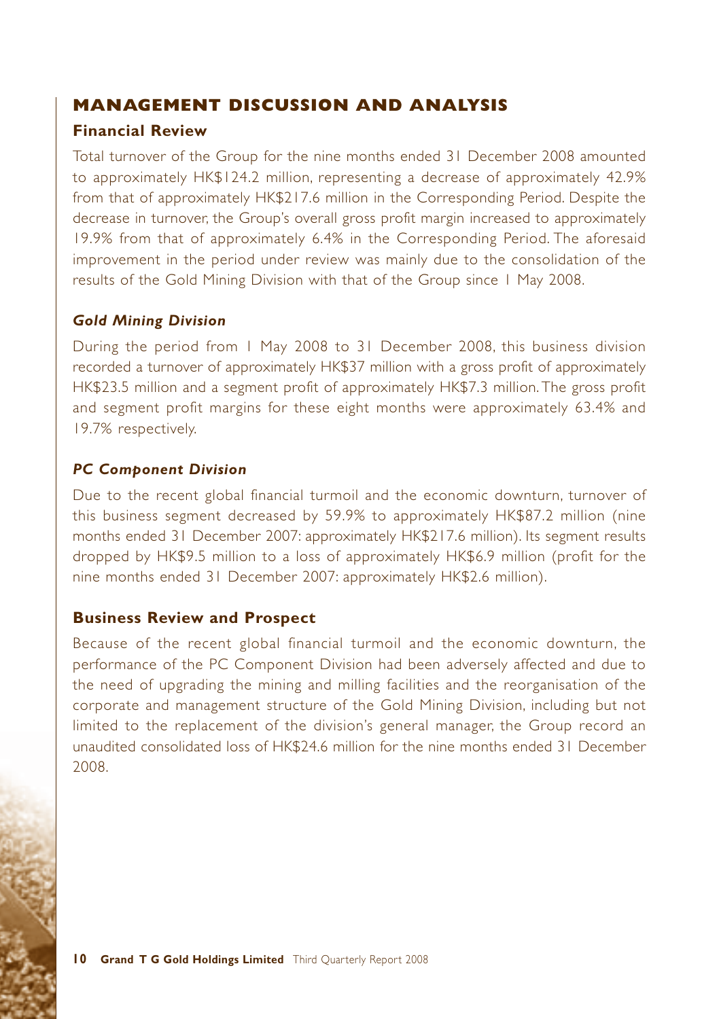### **MANAGEMENT DISCUSSION AND ANALYSIS**

### **Financial Review**

Total turnover of the Group for the nine months ended 31 December 2008 amounted to approximately HK\$124.2 million, representing a decrease of approximately 42.9% from that of approximately HK\$217.6 million in the Corresponding Period. Despite the decrease in turnover, the Group's overall gross profit margin increased to approximately 19.9% from that of approximately 6.4% in the Corresponding Period. The aforesaid improvement in the period under review was mainly due to the consolidation of the results of the Gold Mining Division with that of the Group since 1 May 2008.

### *Gold Mining Division*

During the period from 1 May 2008 to 31 December 2008, this business division recorded a turnover of approximately HK\$37 million with a gross profit of approximately HK\$23.5 million and a segment profit of approximately HK\$7.3 million. The gross profit and segment profit margins for these eight months were approximately 63.4% and 19.7% respectively.

### *PC Component Division*

Due to the recent global financial turmoil and the economic downturn, turnover of this business segment decreased by 59.9% to approximately HK\$87.2 million (nine months ended 31 December 2007: approximately HK\$217.6 million). Its segment results dropped by HK\$9.5 million to a loss of approximately HK\$6.9 million (profit for the nine months ended 31 December 2007: approximately HK\$2.6 million).

### **Business Review and Prospect**

Because of the recent global financial turmoil and the economic downturn, the performance of the PC Component Division had been adversely affected and due to the need of upgrading the mining and milling facilities and the reorganisation of the corporate and management structure of the Gold Mining Division, including but not limited to the replacement of the division's general manager, the Group record an unaudited consolidated loss of HK\$24.6 million for the nine months ended 31 December 2008.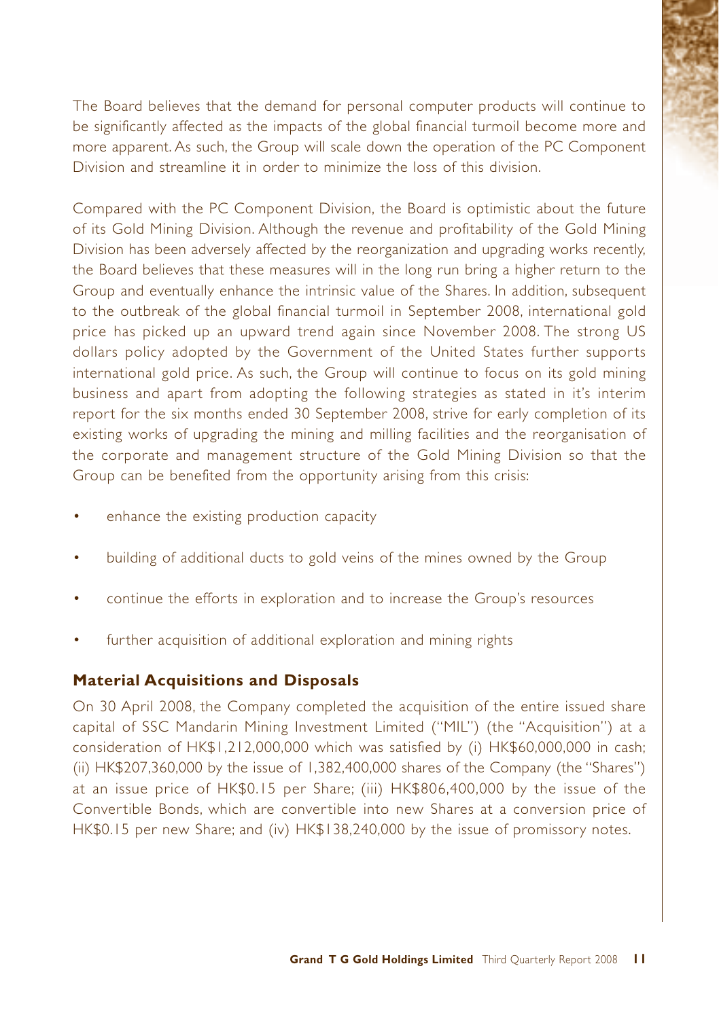The Board believes that the demand for personal computer products will continue to be significantly affected as the impacts of the global financial turmoil become more and more apparent. As such, the Group will scale down the operation of the PC Component Division and streamline it in order to minimize the loss of this division.

Compared with the PC Component Division, the Board is optimistic about the future of its Gold Mining Division. Although the revenue and profitability of the Gold Mining Division has been adversely affected by the reorganization and upgrading works recently, the Board believes that these measures will in the long run bring a higher return to the Group and eventually enhance the intrinsic value of the Shares. In addition, subsequent to the outbreak of the global financial turmoil in September 2008, international gold price has picked up an upward trend again since November 2008. The strong US dollars policy adopted by the Government of the United States further supports international gold price. As such, the Group will continue to focus on its gold mining business and apart from adopting the following strategies as stated in it's interim report for the six months ended 30 September 2008, strive for early completion of its existing works of upgrading the mining and milling facilities and the reorganisation of the corporate and management structure of the Gold Mining Division so that the Group can be benefited from the opportunity arising from this crisis:

- enhance the existing production capacity
- building of additional ducts to gold veins of the mines owned by the Group
- continue the efforts in exploration and to increase the Group's resources
- further acquisition of additional exploration and mining rights

### **Material Acquisitions and Disposals**

On 30 April 2008, the Company completed the acquisition of the entire issued share capital of SSC Mandarin Mining Investment Limited ("MIL") (the "Acquisition") at a consideration of HK\$1,212,000,000 which was satisfied by (i) HK\$60,000,000 in cash; (ii) HK\$207,360,000 by the issue of 1,382,400,000 shares of the Company (the "Shares") at an issue price of HK\$0.15 per Share; (iii) HK\$806,400,000 by the issue of the Convertible Bonds, which are convertible into new Shares at a conversion price of HK\$0.15 per new Share; and (iv) HK\$138,240,000 by the issue of promissory notes.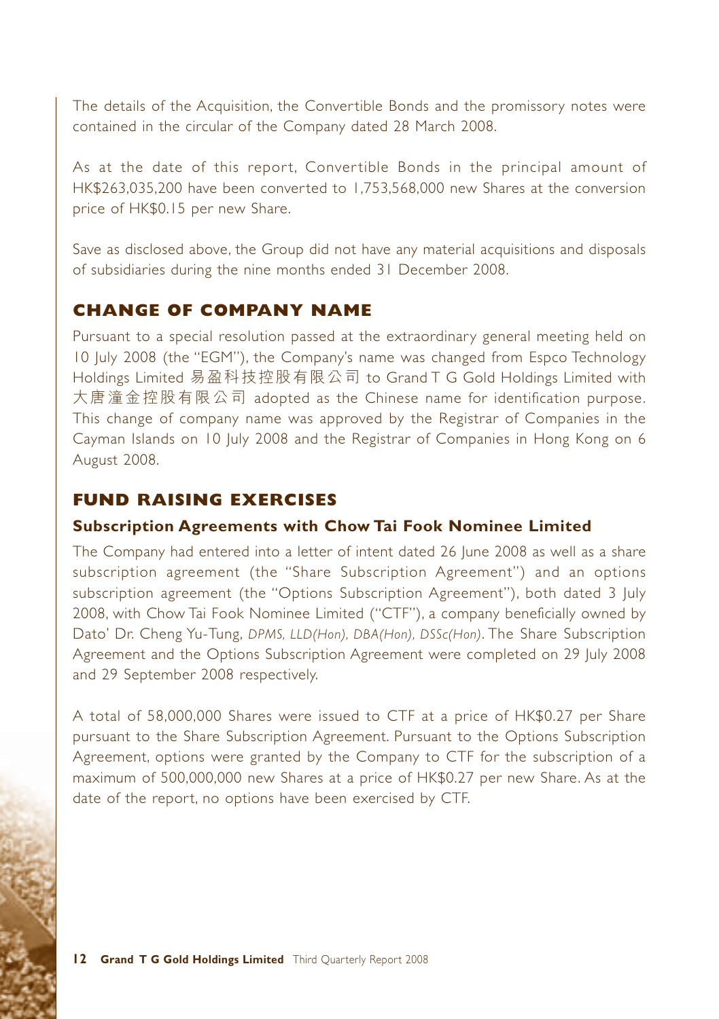The details of the Acquisition, the Convertible Bonds and the promissory notes were contained in the circular of the Company dated 28 March 2008.

As at the date of this report, Convertible Bonds in the principal amount of HK\$263,035,200 have been converted to 1,753,568,000 new Shares at the conversion price of HK\$0.15 per new Share.

Save as disclosed above, the Group did not have any material acquisitions and disposals of subsidiaries during the nine months ended 31 December 2008.

### **CHANGE OF COMPANY NAME**

Pursuant to a special resolution passed at the extraordinary general meeting held on 10 July 2008 (the "EGM"), the Company's name was changed from Espco Technology Holdings Limited 易盈科技控股有限公司 to Grand T G Gold Holdings Limited with 大唐潼金控股有限公司 adopted as the Chinese name for identification purpose. This change of company name was approved by the Registrar of Companies in the Cayman Islands on 10 July 2008 and the Registrar of Companies in Hong Kong on 6 August 2008.

# **FUND RAISING EXERCISES**

### **Subscription Agreements with Chow Tai Fook Nominee Limited**

The Company had entered into a letter of intent dated 26 June 2008 as well as a share subscription agreement (the "Share Subscription Agreement") and an options subscription agreement (the "Options Subscription Agreement"), both dated 3 July 2008, with Chow Tai Fook Nominee Limited ("CTF"), a company beneficially owned by Dato' Dr. Cheng Yu-Tung, *DPMS, LLD(Hon), DBA(Hon), DSSc(Hon)*. The Share Subscription Agreement and the Options Subscription Agreement were completed on 29 July 2008 and 29 September 2008 respectively.

A total of 58,000,000 Shares were issued to CTF at a price of HK\$0.27 per Share pursuant to the Share Subscription Agreement. Pursuant to the Options Subscription Agreement, options were granted by the Company to CTF for the subscription of a maximum of 500,000,000 new Shares at a price of HK\$0.27 per new Share. As at the date of the report, no options have been exercised by CTF.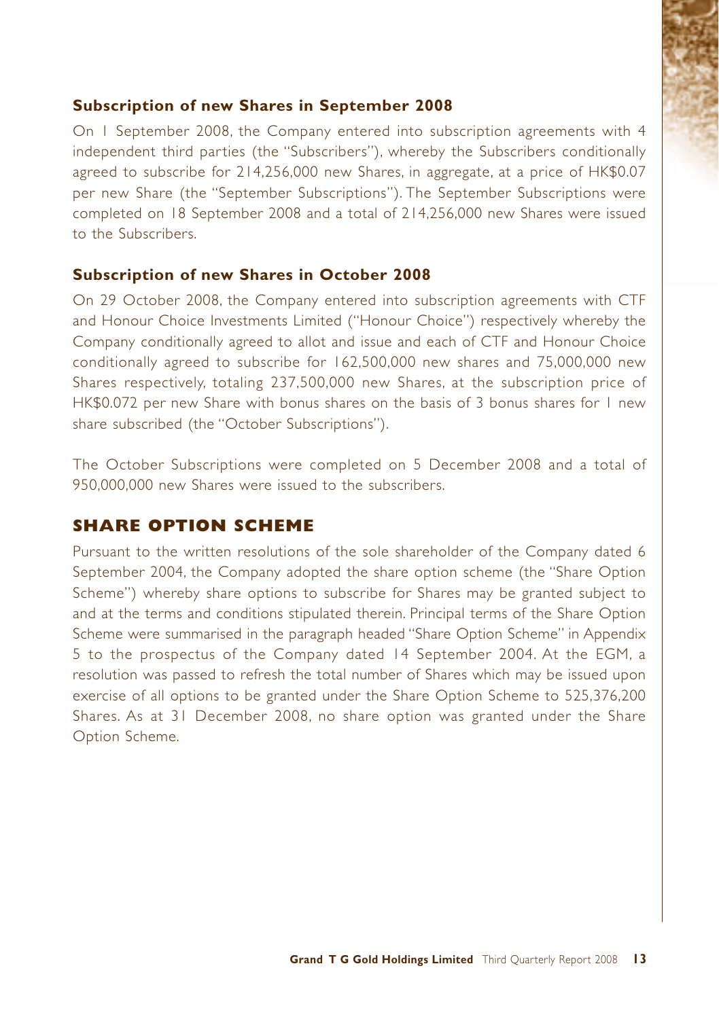### **Subscription of new Shares in September 2008**

On 1 September 2008, the Company entered into subscription agreements with 4 independent third parties (the "Subscribers"), whereby the Subscribers conditionally agreed to subscribe for 214,256,000 new Shares, in aggregate, at a price of HK\$0.07 per new Share (the "September Subscriptions"). The September Subscriptions were completed on 18 September 2008 and a total of 214,256,000 new Shares were issued to the Subscribers.

### **Subscription of new Shares in October 2008**

On 29 October 2008, the Company entered into subscription agreements with CTF and Honour Choice Investments Limited ("Honour Choice") respectively whereby the Company conditionally agreed to allot and issue and each of CTF and Honour Choice conditionally agreed to subscribe for 162,500,000 new shares and 75,000,000 new Shares respectively, totaling 237,500,000 new Shares, at the subscription price of HK\$0.072 per new Share with bonus shares on the basis of 3 bonus shares for 1 new share subscribed (the "October Subscriptions").

The October Subscriptions were completed on 5 December 2008 and a total of 950,000,000 new Shares were issued to the subscribers.

# **SHARE OPTION SCHEME**

Pursuant to the written resolutions of the sole shareholder of the Company dated 6 September 2004, the Company adopted the share option scheme (the "Share Option Scheme") whereby share options to subscribe for Shares may be granted subject to and at the terms and conditions stipulated therein. Principal terms of the Share Option Scheme were summarised in the paragraph headed "Share Option Scheme" in Appendix 5 to the prospectus of the Company dated 14 September 2004. At the EGM, a resolution was passed to refresh the total number of Shares which may be issued upon exercise of all options to be granted under the Share Option Scheme to 525,376,200 Shares. As at 31 December 2008, no share option was granted under the Share Option Scheme.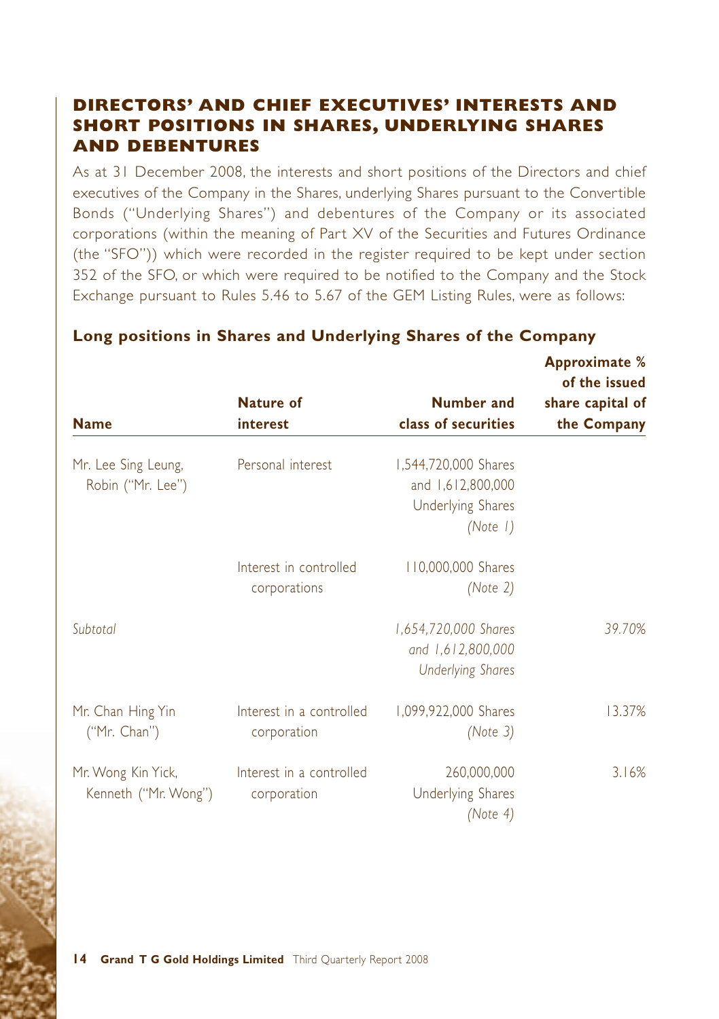# **DIRECTORS' AND CHIEF EXECUTIVES' INTERESTS AND SHORT POSITIONS IN SHARES, UNDERLYING SHARES AND DEBENTURES**

As at 31 December 2008, the interests and short positions of the Directors and chief executives of the Company in the Shares, underlying Shares pursuant to the Convertible Bonds ("Underlying Shares") and debentures of the Company or its associated corporations (within the meaning of Part XV of the Securities and Futures Ordinance (the "SFO")) which were recorded in the register required to be kept under section 352 of the SFO, or which were required to be notified to the Company and the Stock Exchange pursuant to Rules 5.46 to 5.67 of the GEM Listing Rules, were as follows:

| <b>Name</b>                                | Nature of<br>interest                   | Number and<br>class of securities                                                 | <b>Approximate</b> %<br>of the issued<br>share capital of<br>the Company |
|--------------------------------------------|-----------------------------------------|-----------------------------------------------------------------------------------|--------------------------------------------------------------------------|
| Mr. Lee Sing Leung,<br>Robin ("Mr. Lee")   | Personal interest                       | 1,544,720,000 Shares<br>and 1,612,800,000<br><b>Underlying Shares</b><br>(Note 1) |                                                                          |
|                                            | Interest in controlled<br>corporations  | 110,000,000 Shares<br>(Note $2$ )                                                 |                                                                          |
| Subtotal                                   |                                         | 1,654,720,000 Shares<br>and 1,612,800,000<br><b>Underlying Shares</b>             | 39.70%                                                                   |
| Mr. Chan Hing Yin<br>("Mr. Chan")          | Interest in a controlled<br>corporation | 1,099,922,000 Shares<br>(Note 3)                                                  | 13.37%                                                                   |
| Mr. Wong Kin Yick,<br>Kenneth ("Mr. Wong") | Interest in a controlled<br>corporation | 260,000,000<br><b>Underlying Shares</b><br>(Note $4$ )                            | 3.16%                                                                    |

### **Long positions in Shares and Underlying Shares of the Company**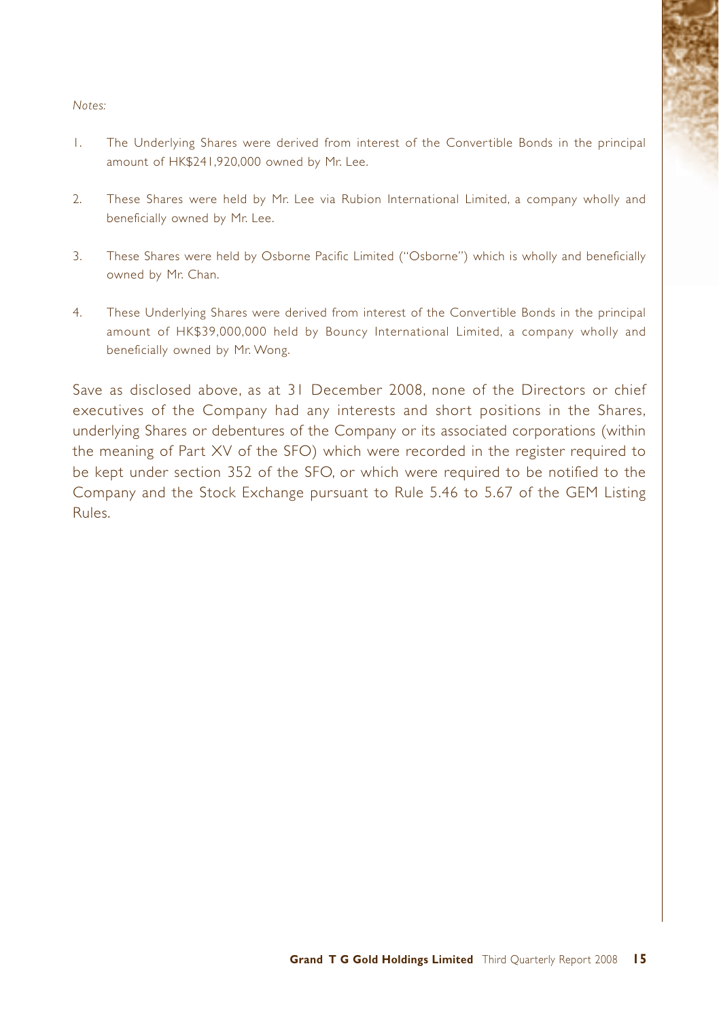#### *Notes:*

- 1. The Underlying Shares were derived from interest of the Convertible Bonds in the principal amount of HK\$241,920,000 owned by Mr. Lee.
- 2. These Shares were held by Mr. Lee via Rubion International Limited, a company wholly and beneficially owned by Mr. Lee.
- 3. These Shares were held by Osborne Pacific Limited ("Osborne") which is wholly and beneficially owned by Mr. Chan.
- 4. These Underlying Shares were derived from interest of the Convertible Bonds in the principal amount of HK\$39,000,000 held by Bouncy International Limited, a company wholly and beneficially owned by Mr. Wong.

Save as disclosed above, as at 31 December 2008, none of the Directors or chief executives of the Company had any interests and short positions in the Shares, underlying Shares or debentures of the Company or its associated corporations (within the meaning of Part XV of the SFO) which were recorded in the register required to be kept under section 352 of the SFO, or which were required to be notified to the Company and the Stock Exchange pursuant to Rule 5.46 to 5.67 of the GEM Listing Rules.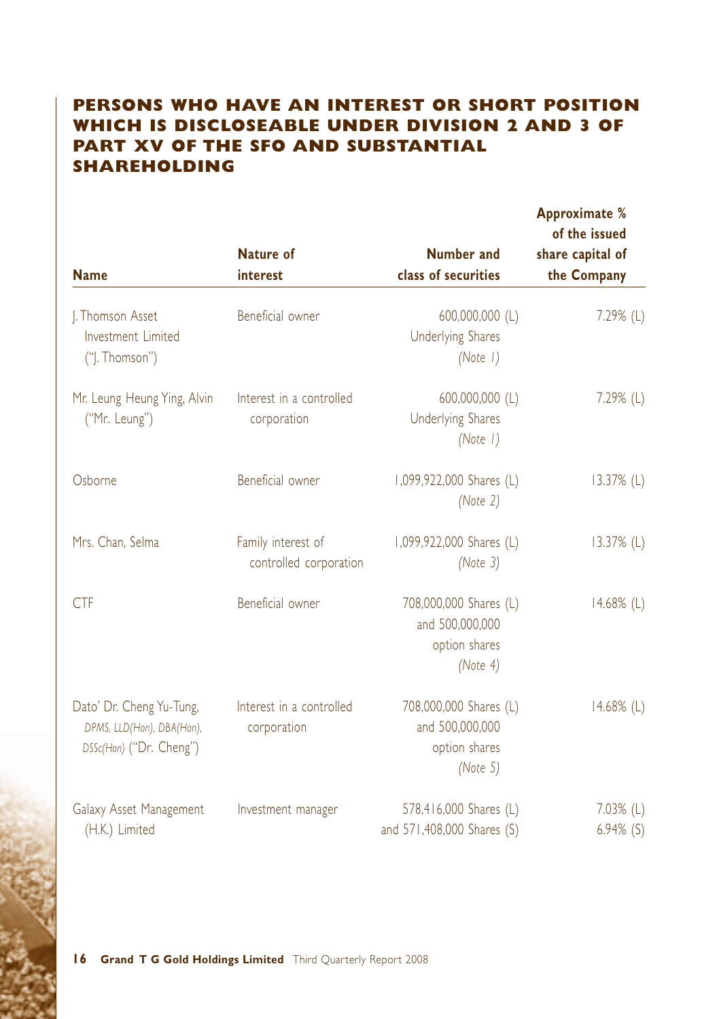# **PERSONS WHO HAVE AN INTEREST OR SHORT POSITION WHICH IS DISCLOSEABLE UNDER DIVISION 2 AND 3 OF PART XV OF THE SFO AND SUBSTANTIAL SHAREHOLDING**

| <b>Name</b>                                                                      | <b>Nature of</b><br>interest                 | <b>Number and</b><br>class of securities                                  | Approximate %<br>of the issued<br>share capital of<br>the Company |
|----------------------------------------------------------------------------------|----------------------------------------------|---------------------------------------------------------------------------|-------------------------------------------------------------------|
| J. Thomson Asset<br>Investment Limited<br>("J. Thomson")                         | Beneficial owner                             | 600,000,000 (L)<br><b>Underlying Shares</b><br>(Note 1)                   | $7.29\%$ (L)                                                      |
| Mr. Leung Heung Ying, Alvin<br>("Mr. Leung")                                     | Interest in a controlled<br>corporation      | 600,000,000 (L)<br><b>Underlying Shares</b><br>(Note 1)                   | 7.29% (L)                                                         |
| Osborne                                                                          | Beneficial owner                             | 1,099,922,000 Shares (L)<br>(Note $2$ )                                   | $13.37%$ (L)                                                      |
| Mrs. Chan, Selma                                                                 | Family interest of<br>controlled corporation | 1,099,922,000 Shares (L)<br>(Note 3)                                      | 13.37% (L)                                                        |
| <b>CTF</b>                                                                       | Beneficial owner                             | 708,000,000 Shares (L)<br>and 500,000,000<br>option shares<br>(Note $4$ ) | $14.68\%$ (L)                                                     |
| Dato' Dr. Cheng Yu-Tung,<br>DPMS, LLD(Hon), DBA(Hon),<br>DSSc(Hon) ("Dr. Cheng") | Interest in a controlled<br>corporation      | 708,000,000 Shares (L)<br>and 500,000,000<br>option shares<br>(Note $5$ ) | $14.68\%$ (L)                                                     |
| Galaxy Asset Management<br>(H.K.) Limited                                        | Investment manager                           | 578,416,000 Shares (L)<br>and 571,408,000 Shares (S)                      | $7.03\%$ (L)<br>$6.94\%$ (S)                                      |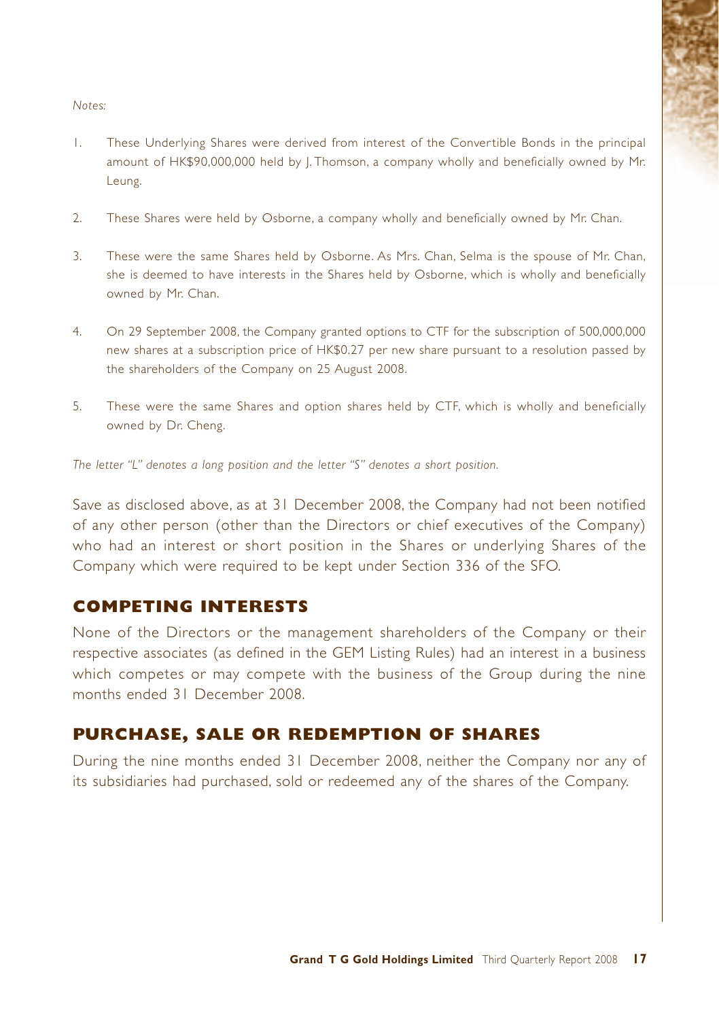#### *Notes:*

- 1. These Underlying Shares were derived from interest of the Convertible Bonds in the principal amount of HK\$90,000,000 held by J. Thomson, a company wholly and beneficially owned by Mr. Leung.
- 2. These Shares were held by Osborne, a company wholly and beneficially owned by Mr. Chan.
- 3. These were the same Shares held by Osborne. As Mrs. Chan, Selma is the spouse of Mr. Chan, she is deemed to have interests in the Shares held by Osborne, which is wholly and beneficially owned by Mr. Chan.
- 4. On 29 September 2008, the Company granted options to CTF for the subscription of 500,000,000 new shares at a subscription price of HK\$0.27 per new share pursuant to a resolution passed by the shareholders of the Company on 25 August 2008.
- 5. These were the same Shares and option shares held by CTF, which is wholly and beneficially owned by Dr. Cheng.

*The letter "L" denotes a long position and the letter "S" denotes a short position.*

Save as disclosed above, as at 31 December 2008, the Company had not been notified of any other person (other than the Directors or chief executives of the Company) who had an interest or short position in the Shares or underlying Shares of the Company which were required to be kept under Section 336 of the SFO.

### **COMPETING INTERESTS**

None of the Directors or the management shareholders of the Company or their respective associates (as defined in the GEM Listing Rules) had an interest in a business which competes or may compete with the business of the Group during the nine months ended 31 December 2008.

### **PURCHASE, SALE OR REDEMPTION OF SHARES**

During the nine months ended 31 December 2008, neither the Company nor any of its subsidiaries had purchased, sold or redeemed any of the shares of the Company.